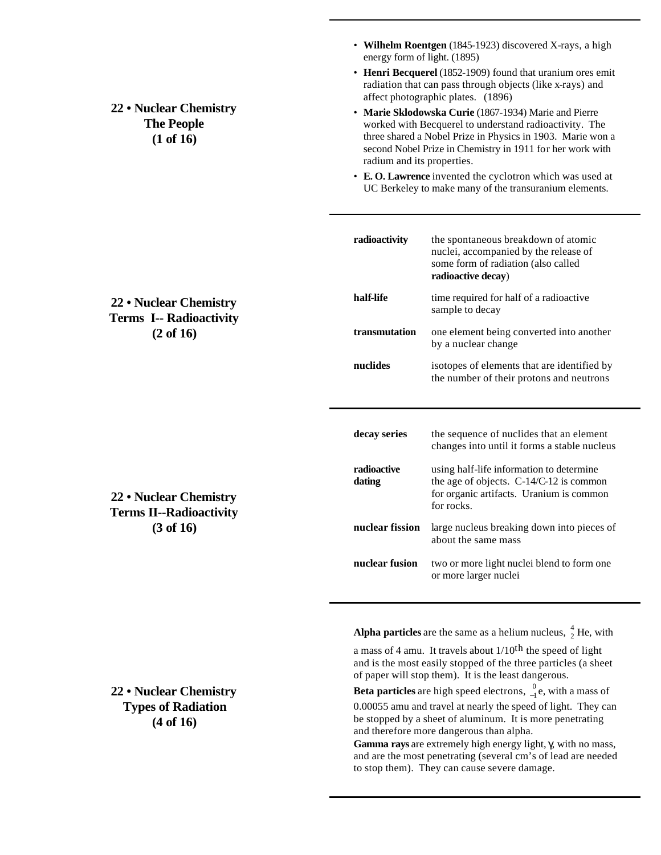**22 • Nuclear Chemistry The People (1 of 16)**

- **Wilhelm Roentgen** (1845-1923) discovered X-rays, a high energy form of light. (1895)
- **Henri Becquerel** (1852-1909) found that uranium ores emit radiation that can pass through objects (like x-rays) and affect photographic plates. (1896)
- **Marie Sklodowska Curie** (1867-1934) Marie and Pierre worked with Becquerel to understand radioactivity. The three shared a Nobel Prize in Physics in 1903. Marie won a second Nobel Prize in Chemistry in 1911 for her work with radium and its properties.
- **E. O. Lawrence** invented the cyclotron which was used at UC Berkeley to make many of the transuranium elements.

| radioactivity         | the spontaneous breakdown of atomic<br>nuclei, accompanied by the release of<br>some form of radiation (also called<br>radioactive decay)     |  |
|-----------------------|-----------------------------------------------------------------------------------------------------------------------------------------------|--|
| half-life             | time required for half of a radioactive<br>sample to decay                                                                                    |  |
| transmutation         | one element being converted into another<br>by a nuclear change                                                                               |  |
| nuclides              | isotopes of elements that are identified by<br>the number of their protons and neutrons                                                       |  |
|                       |                                                                                                                                               |  |
|                       |                                                                                                                                               |  |
| decay series          | the sequence of nuclides that an element<br>changes into until it forms a stable nucleus                                                      |  |
| radioactive<br>dating | using half-life information to determine<br>the age of objects. C-14/C-12 is common<br>for organic artifacts. Uranium is common<br>for rocks. |  |
| nuclear fission       | large nucleus breaking down into pieces of<br>about the same mass                                                                             |  |

**Alpha particles** are the same as a helium nucleus,  $\frac{4}{2}$  He, with

a mass of 4 amu. It travels about  $1/10$ <sup>th</sup> the speed of light and is the most easily stopped of the three particles (a sheet of paper will stop them). It is the least dangerous.

**Beta particles** are high speed electrons,  $\int_{-1}^{0} e$ , with a mass of 0.00055 amu and travel at nearly the speed of light. They can be stopped by a sheet of aluminum. It is more penetrating and therefore more dangerous than alpha.

**Gamma rays** are extremely high energy light, γ, with no mass, and are the most penetrating (several cm's of lead are needed to stop them). They can cause severe damage.

# **22 • Nuclear Chemistry Terms I-- Radioactivity (2 of 16)**

**22 • Nuclear Chemistry Terms II--Radioactivity (3 of 16)**

**22 • Nuclear Chemistry Types of Radiation (4 of 16)**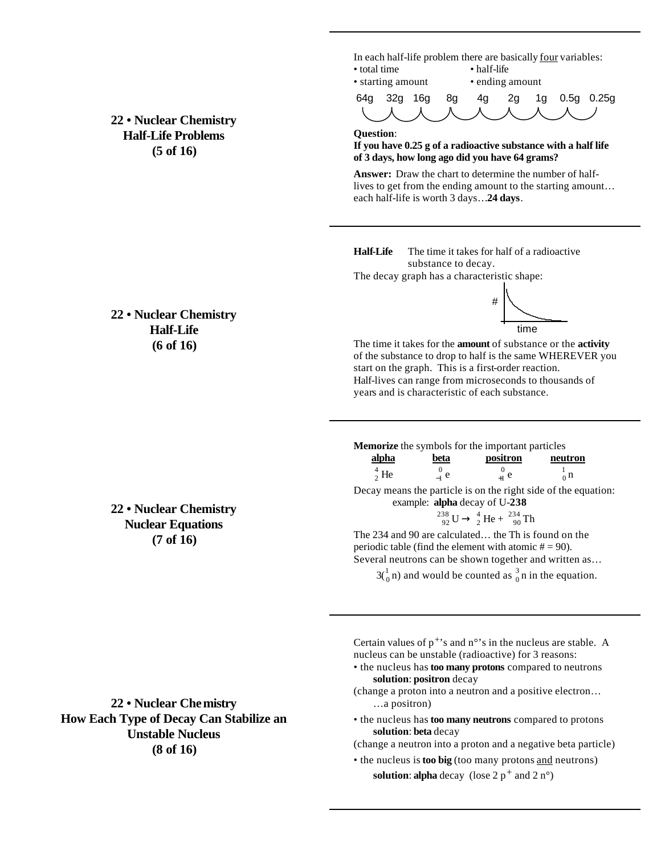**22 • Nuclear Chemistry Half-Life Problems (5 of 16)**

In each half-life problem there are basically four variables: • total time • half-life



#### **Question**:

### **If you have 0.25 g of a radioactive substance with a half life of 3 days, how long ago did you have 64 grams?**

**Answer:** Draw the chart to determine the number of halflives to get from the ending amount to the starting amount… each half-life is worth 3 days…**24 days**.

**Half-Life** The time it takes for half of a radioactive substance to decay.

The decay graph has a characteristic shape:

## **22 • Nuclear Chemistry Half-Life (6 of 16)**



The time it takes for the **amount** of substance or the **activity** of the substance to drop to half is the same WHEREVER you start on the graph. This is a first-order reaction. Half-lives can range from microseconds to thousands of years and is characteristic of each substance.

**Memorize** the symbols for the important particles

| <u>alpha</u>     | beta   | positron  | neutron      |
|------------------|--------|-----------|--------------|
| $\frac{4}{2}$ He | $-1$ e | $_{+1}$ e | $n \nvert n$ |
|                  |        |           |              |

Decay means the particle is on the right side of the equation: example: **alpha** decay of U-**238**

$$
^{238}_{92}U \rightarrow ^{4}_{2}He + ^{234}_{90}Th
$$

The 234 and 90 are calculated… the Th is found on the periodic table (find the element with atomic  $# = 90$ ). Several neutrons can be shown together and written as…

 $3\binom{1}{0}$  n) and would be counted as  $\frac{3}{0}$  n in the equation.

Certain values of  $p^{+}$ 's and n°'s in the nucleus are stable. A nucleus can be unstable (radioactive) for 3 reasons:

- the nucleus has **too many protons** compared to neutrons **solution**: **positron** decay
- (change a proton into a neutron and a positive electron… …a positron)
- the nucleus has **too many neutrons** compared to protons **solution**: **beta** decay

(change a neutron into a proton and a negative beta particle)

• the nucleus is **too big** (too many protons and neutrons)

**solution: alpha** decay (lose  $2 p^+$  and  $2 n^{\circ}$ )

**22 • Nuclear Chemistry Nuclear Equations (7 of 16)**

**22 • Nuclear Chemistry How Each Type of Decay Can Stabilize an Unstable Nucleus (8 of 16)**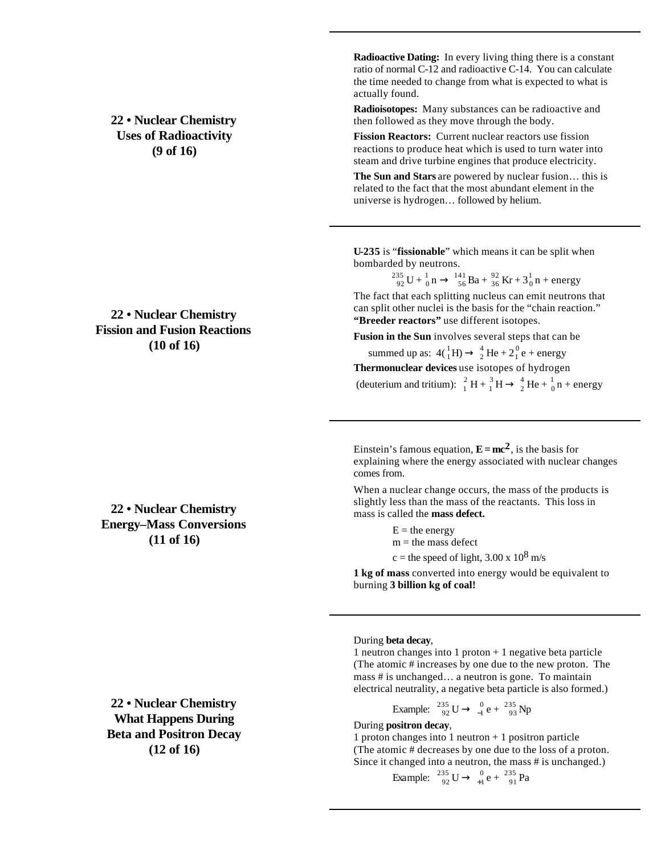**22 • Nuclear Chemistry Uses of Radioactivity (9 of 16)**

## **22 • Nuclear Chemistry Fission and Fusion Reactions (10 of 16)**

**22 • Nuclear Chemistry Energy–Mass Conversions (11 of 16)**

**22 • Nuclear Chemistry What Happens During Beta and Positron Decay (12 of 16)**

**Radioactive Dating:** In every living thing there is a constant ratio of normal C-12 and radioactive C-14. You can calculate the time needed to change from what is expected to what is actually found.

**Radioisotopes:** Many substances can be radioactive and then followed as they move through the body.

**Fission Reactors:** Current nuclear reactors use fission reactions to produce heat which is used to turn water into steam and drive turbine engines that produce electricity.

**The Sun and Stars** are powered by nuclear fusion… this is related to the fact that the most abundant element in the universe is hydrogen… followed by helium.

**U-235** is "**fissionable**" which means it can be split when bombarded by neutrons.

 $^{235}_{92}$  U +  $^{1}_{0}$  n  $\rightarrow$   $^{141}_{56}$  Ba +  $^{92}_{36}$  Kr +  $3^{1}_{0}$  n + energy

The fact that each splitting nucleus can emit neutrons that can split other nuclei is the basis for the "chain reaction." **"Breeder reactors"** use different isotopes.

**Fusion in the Sun** involves several steps that can be

summed up as:  $4({}^{1}_{1}H) \rightarrow {}^{4}_{2}He + 2{}^{0}_{1}e +$  energy **Thermonuclear devices** use isotopes of hydrogen (deuterium and tritium):  ${}^{2}_{1}H + {}^{3}_{1}H \rightarrow {}^{4}_{2}He + {}^{1}_{0}n +$  energy

Einstein's famous equation,  $\mathbf{E} = mc^2$ , is the basis for explaining where the energy associated with nuclear changes comes from.

When a nuclear change occurs, the mass of the products is slightly less than the mass of the reactants. This loss in mass is called the **mass defect.**

> $E =$  the energy  $m =$  the mass defect c = the speed of light,  $3.00 \times 10^8$  m/s

**1 kg of mass** converted into energy would be equivalent to burning **3 billion kg of coal!**

### During **beta decay**,

1 neutron changes into 1 proton  $+1$  negative beta particle (The atomic # increases by one due to the new proton. The mass # is unchanged… a neutron is gone. To maintain electrical neutrality, a negative beta particle is also formed.)

Example: 
$$
\frac{235}{92} \text{U} \rightarrow \frac{0}{-1} \text{e} + \frac{235}{93} \text{Np}
$$

### During **positron decay**,

1 proton changes into 1 neutron  $+1$  positron particle (The atomic # decreases by one due to the loss of a proton. Since it changed into a neutron, the mass # is unchanged.)

Example: 
$$
\frac{235}{92}U \rightarrow \frac{0}{+1}e + \frac{235}{91}Pa
$$